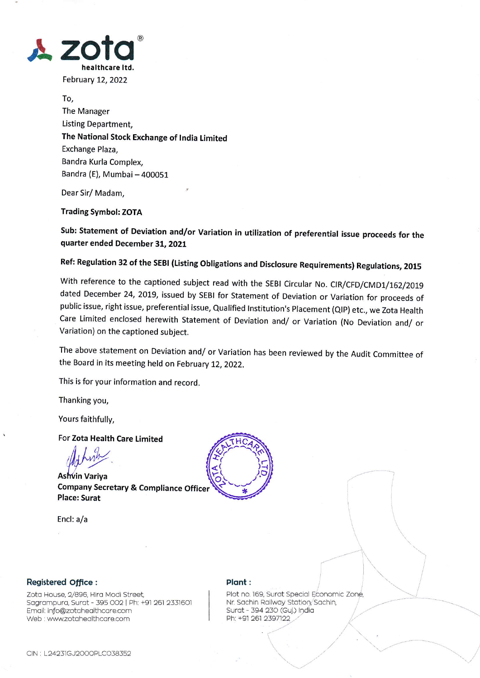

February 12, 2022

To, The Manager Listing Department. The National Stock Exchange of India Limited Exchange Plaza, Bandra Kurla Complex, Bandra (E), Mumbai - 400051

Dear Sir/Madam,

**Trading Symbol: ZOTA** 

Sub: Statement of Deviation and/or Variation in utilization of preferential issue proceeds for the quarter ended December 31, 2021

Ref: Regulation 32 of the SEBI (Listing Obligations and Disclosure Requirements) Regulations, 2015

With reference to the captioned subject read with the SEBI Circular No. CIR/CFD/CMD1/162/2019 dated December 24, 2019, issued by SEBI for Statement of Deviation or Variation for proceeds of public issue, right issue, preferential issue, Qualified Institution's Placement (QIP) etc., we Zota Health Care Limited enclosed herewith Statement of Deviation and/ or Variation (No Deviation and/ or Variation) on the captioned subject.

The above statement on Deviation and/ or Variation has been reviewed by the Audit Committee of the Board in its meeting held on February 12, 2022.

This is for your information and record.

Thanking you,

Yours faithfully,

For Zota Health Care Limited

Ashvin Variya **Company Secretary & Compliance Officer Place: Surat** 

Encl: a/a



## Registered Office :

Zota House, 2/896, Hira Modi Street, Sagrampura, Surat - 395 002 | Ph: +91 261 2331601 Email: info@zotahealthcare.com Web : www.zotahealthcare.com

## Plant:

Plot no. 169, Surat Special Economic Zone, Nr. Sachin Railway Station, Sachin, Surat - 394 230 (Guj.) India Ph: +91 261 2397122